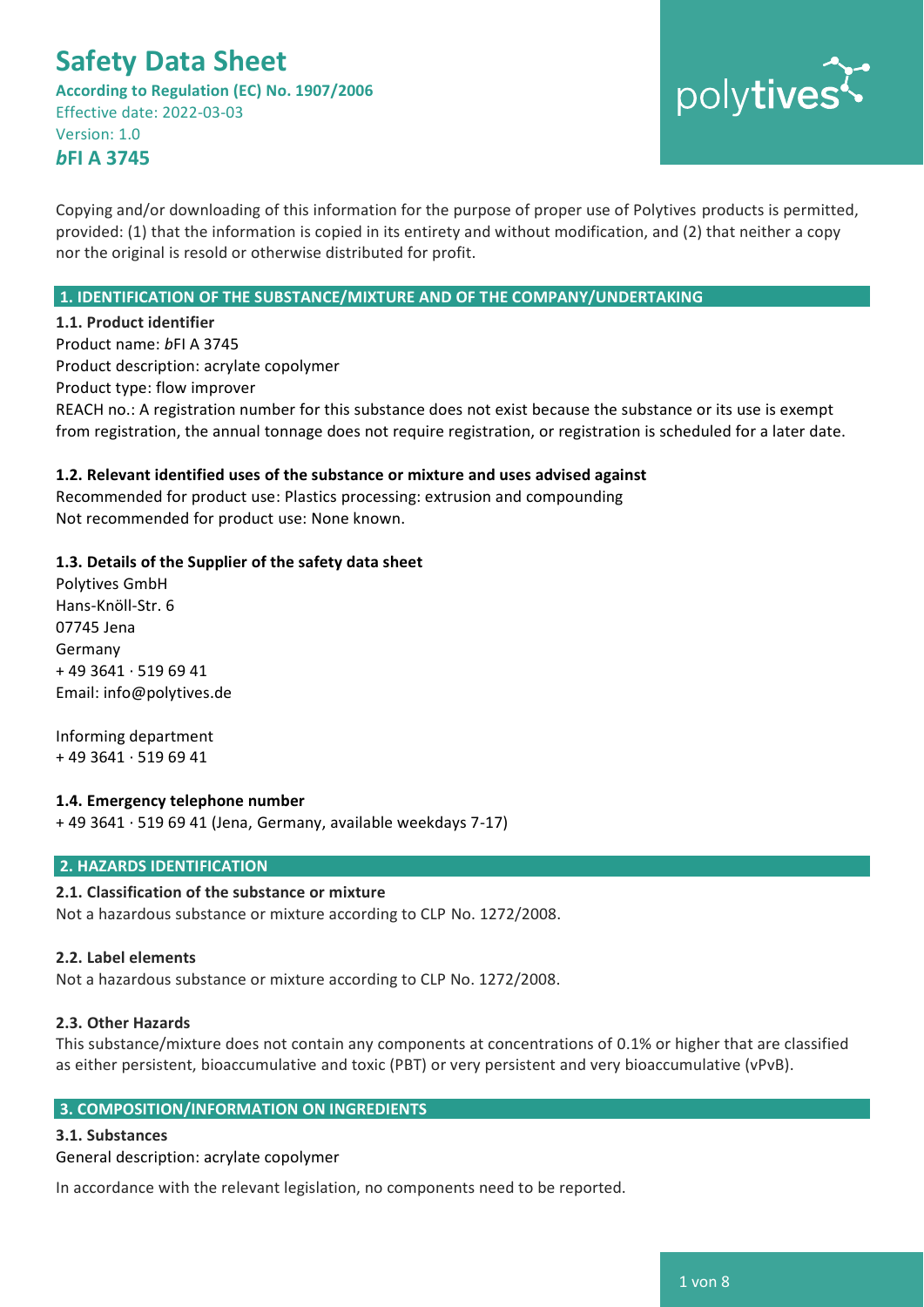**According to Regulation (EC) No. 1907/2006** Effective date: 2022-03-03 Version: 1.0 *b***FI A 3745**



Copying and/or downloading of this information for the purpose of proper use of Polytives products is permitted, provided: (1) that the information is copied in its entirety and without modification, and (2) that neither a copy nor the original is resold or otherwise distributed for profit.

#### **1. IDENTIFICATION OF THE SUBSTANCE/MIXTURE AND OF THE COMPANY/UNDERTAKING**

**1.1. Product identifier** Product name: *b*FI A 3745 Product description: acrylate copolymer Product type: flow improver REACH no.: A registration number for this substance does not exist because the substance or its use is exempt from registration, the annual tonnage does not require registration, or registration is scheduled for a later date.

#### **1.2. Relevant identified uses of the substance or mixture and uses advised against**

Recommended for product use: Plastics processing: extrusion and compounding Not recommended for product use: None known.

#### **1.3. Details of the Supplier of the safety data sheet**

Polytives GmbH Hans-Knöll-Str. 6 07745 Jena Germany + 49 3641 · 519 69 41 Email: info@polytives.de

Informing department + 49 3641 · 519 69 41

#### **1.4. Emergency telephone number**

+ 49 3641 · 519 69 41 (Jena, Germany, available weekdays 7-17)

#### **2. HAZARDS IDENTIFICATION**

#### **2.1. Classification of the substance or mixture**

Not a hazardous substance or mixture according to CLP No. 1272/2008.

#### **2.2. Label elements**

Not a hazardous substance or mixture according to CLP No. 1272/2008.

#### **2.3. Other Hazards**

This substance/mixture does not contain any components at concentrations of 0.1% or higher that are classified as either persistent, bioaccumulative and toxic (PBT) or very persistent and very bioaccumulative (vPvB).

#### **3. COMPOSITION/INFORMATION ON INGREDIENTS**

#### **3.1. Substances**

General description: acrylate copolymer

In accordance with the relevant legislation, no components need to be reported.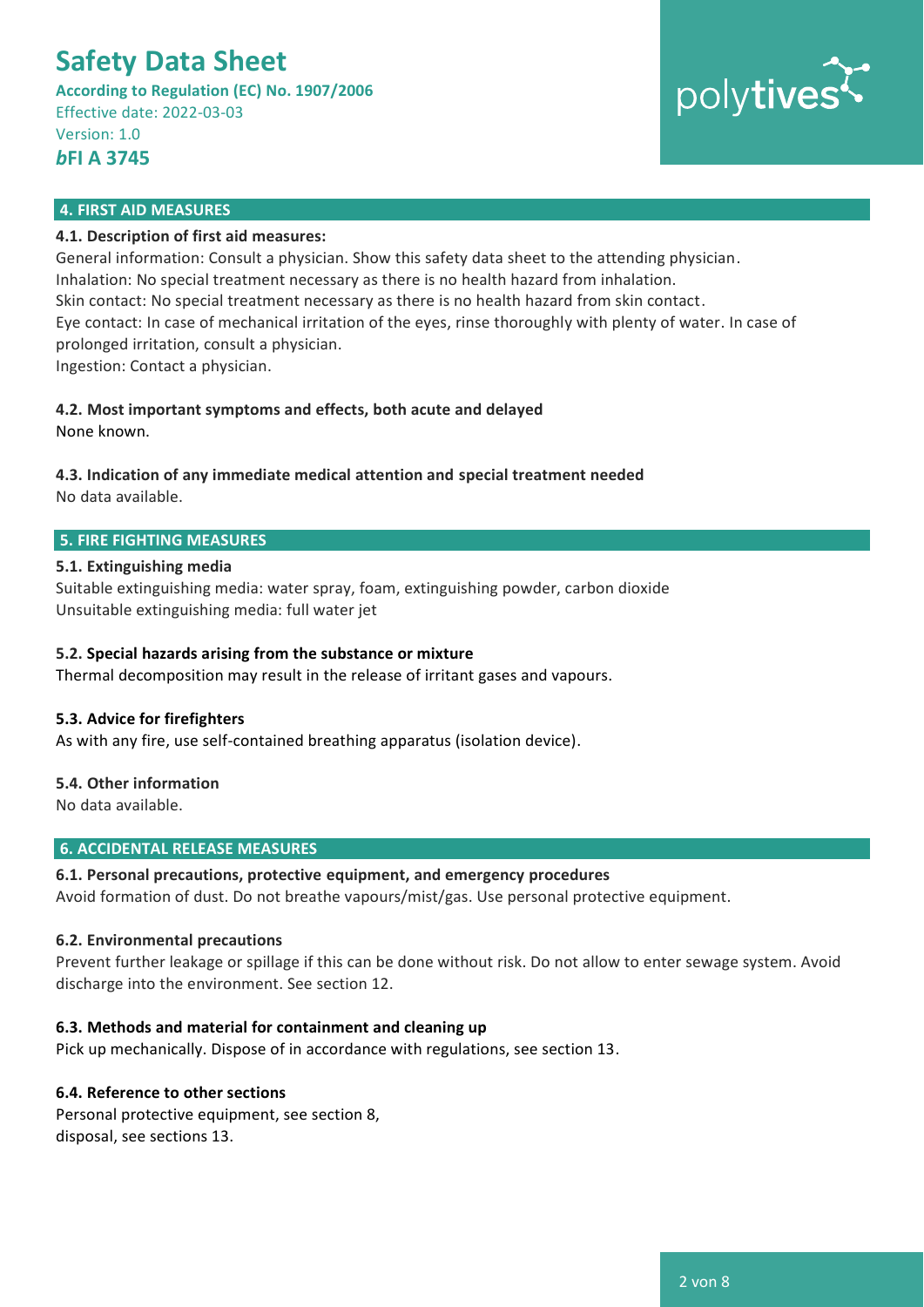**According to Regulation (EC) No. 1907/2006** Effective date: 2022-03-03 Version: 1.0

# polytives

### *b***FI A 3745**

#### **4. FIRST AID MEASURES**

#### **4.1. Description of first aid measures:**

General information: Consult a physician. Show this safety data sheet to the attending physician. Inhalation: No special treatment necessary as there is no health hazard from inhalation. Skin contact: No special treatment necessary as there is no health hazard from skin contact. Eye contact: In case of mechanical irritation of the eyes, rinse thoroughly with plenty of water. In case of prolonged irritation, consult a physician. Ingestion: Contact a physician.

**4.2. Most important symptoms and effects, both acute and delayed**

None known.

## **4.3. Indication of any immediate medical attention and special treatment needed**

No data available.

#### **5. FIRE FIGHTING MEASURES**

#### **5.1. Extinguishing media**

Suitable extinguishing media: water spray, foam, extinguishing powder, carbon dioxide Unsuitable extinguishing media: full water jet

#### **5.2. Special hazards arising from the substance or mixture**

Thermal decomposition may result in the release of irritant gases and vapours.

#### **5.3. Advice for firefighters**

As with any fire, use self-contained breathing apparatus (isolation device).

#### **5.4. Other information**

No data available.

#### **6. ACCIDENTAL RELEASE MEASURES**

#### **6.1. Personal precautions, protective equipment, and emergency procedures**

Avoid formation of dust. Do not breathe vapours/mist/gas. Use personal protective equipment.

#### **6.2. Environmental precautions**

Prevent further leakage or spillage if this can be done without risk. Do not allow to enter sewage system. Avoid discharge into the environment. See section 12.

#### **6.3. Methods and material for containment and cleaning up**

Pick up mechanically. Dispose of in accordance with regulations, see section 13.

#### **6.4. Reference to other sections**

Personal protective equipment, see section 8, disposal, see sections 13.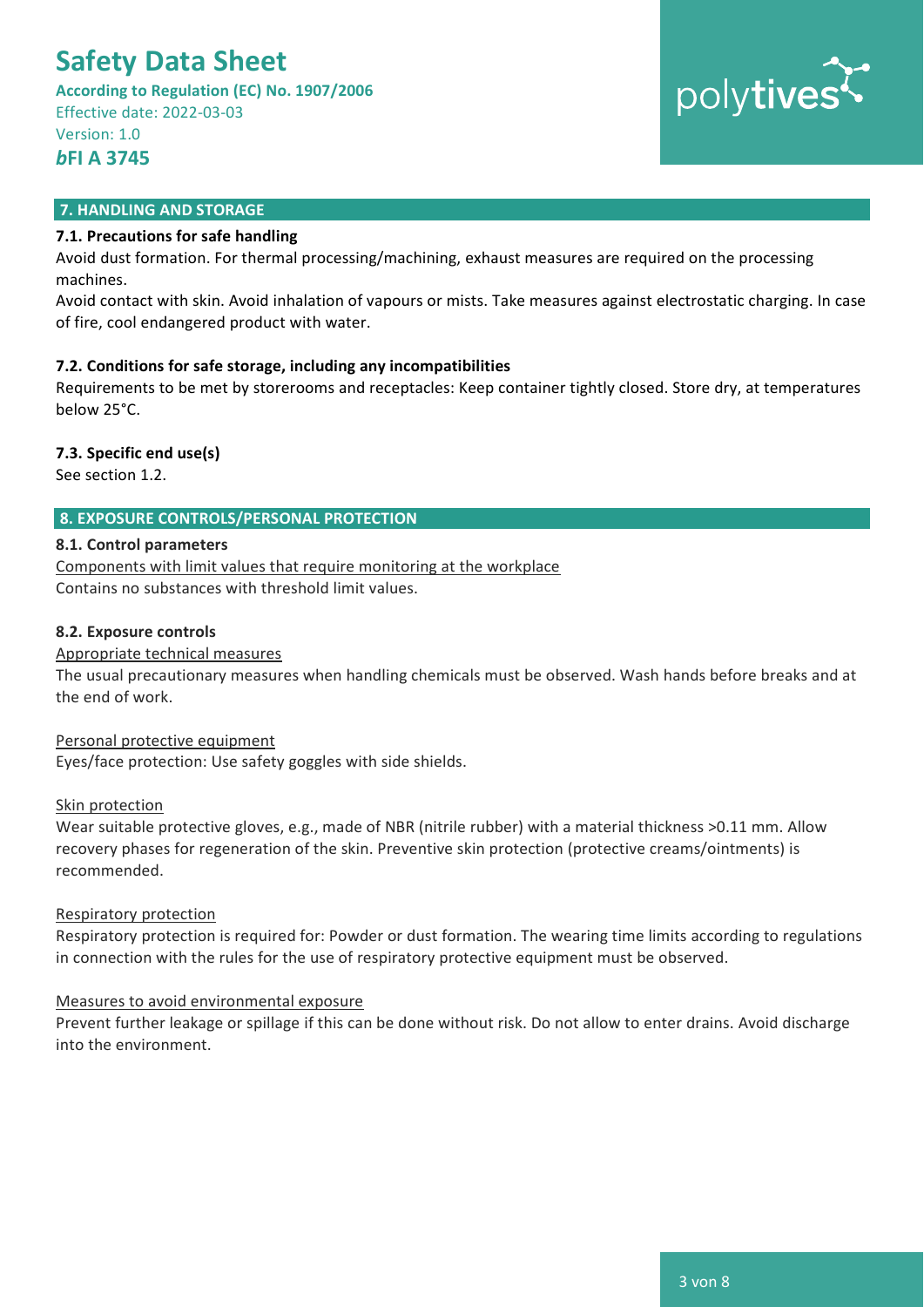**According to Regulation (EC) No. 1907/2006** Effective date: 2022-03-03 Version: 1.0

*b***FI A 3745**

# polytives

#### **7. HANDLING AND STORAGE**

#### **7.1. Precautions for safe handling**

Avoid dust formation. For thermal processing/machining, exhaust measures are required on the processing machines.

Avoid contact with skin. Avoid inhalation of vapours or mists. Take measures against electrostatic charging. In case of fire, cool endangered product with water.

#### **7.2. Conditions for safe storage, including any incompatibilities**

Requirements to be met by storerooms and receptacles: Keep container tightly closed. Store dry, at temperatures below 25°C.

#### **7.3. Specific end use(s)**

See section 1.2.

### **8. EXPOSURE CONTROLS/PERSONAL PROTECTION**

#### **8.1. Control parameters**

Components with limit values that require monitoring at the workplace Contains no substances with threshold limit values.

#### **8.2. Exposure controls**

#### Appropriate technical measures

The usual precautionary measures when handling chemicals must be observed. Wash hands before breaks and at the end of work.

#### Personal protective equipment

Eyes/face protection: Use safety goggles with side shields.

#### Skin protection

Wear suitable protective gloves, e.g., made of NBR (nitrile rubber) with a material thickness >0.11 mm. Allow recovery phases for regeneration of the skin. Preventive skin protection (protective creams/ointments) is recommended.

#### Respiratory protection

Respiratory protection is required for: Powder or dust formation. The wearing time limits according to regulations in connection with the rules for the use of respiratory protective equipment must be observed.

#### Measures to avoid environmental exposure

Prevent further leakage or spillage if this can be done without risk. Do not allow to enter drains. Avoid discharge into the environment.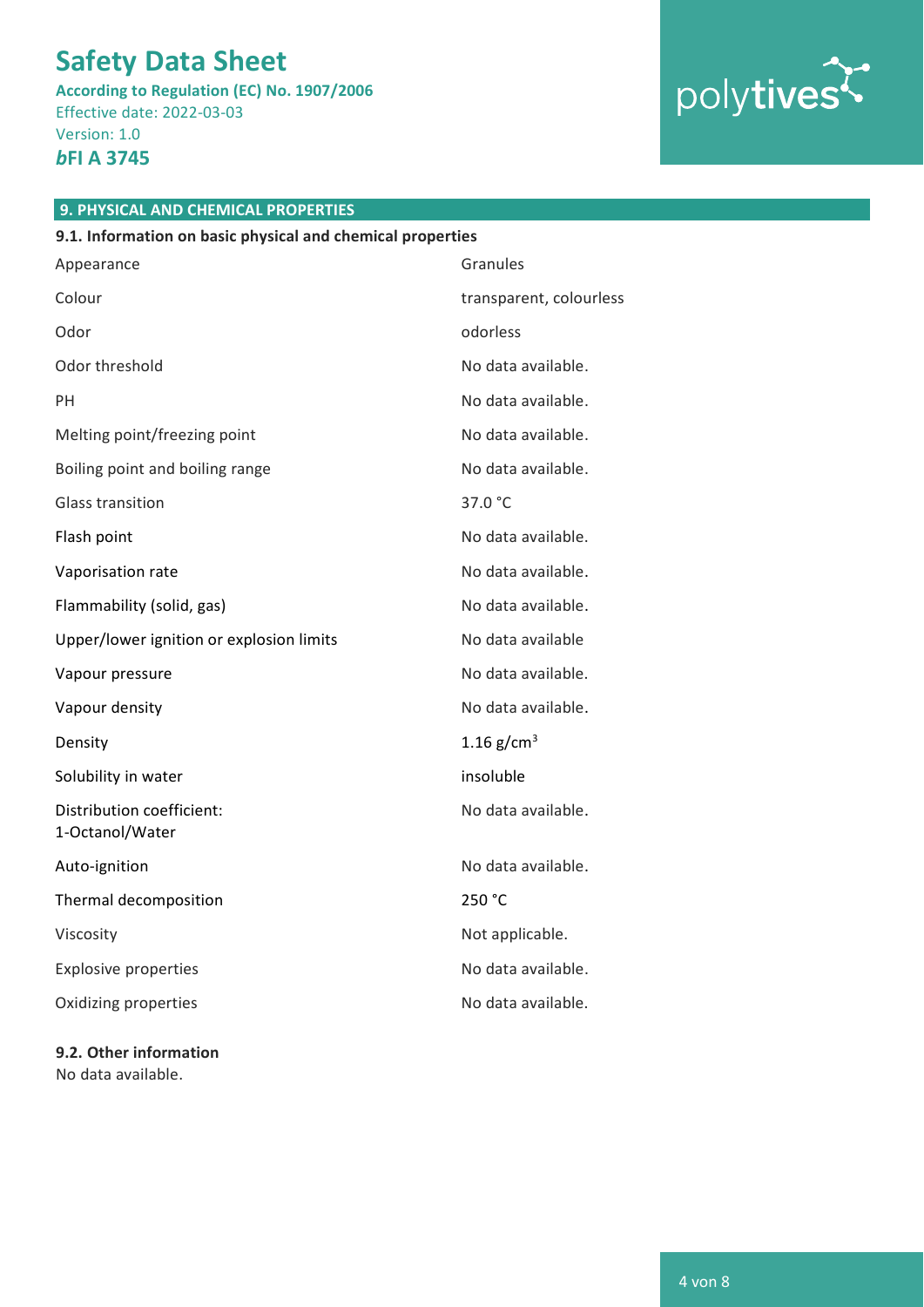**According to Regulation (EC) No. 1907/2006** Effective date: 2022-03-03 Version: 1.0

## *b***FI A 3745**



## **9. PHYSICAL AND CHEMICAL PROPERTIES**

| 9.1. Information on basic physical and chemical properties |                         |  |
|------------------------------------------------------------|-------------------------|--|
| Appearance                                                 | Granules                |  |
| Colour                                                     | transparent, colourless |  |
| Odor                                                       | odorless                |  |
| Odor threshold                                             | No data available.      |  |
| PH                                                         | No data available.      |  |
| Melting point/freezing point                               | No data available.      |  |
| Boiling point and boiling range                            | No data available.      |  |
| <b>Glass transition</b>                                    | 37.0 °C                 |  |
| Flash point                                                | No data available.      |  |
| Vaporisation rate                                          | No data available.      |  |
| Flammability (solid, gas)                                  | No data available.      |  |
| Upper/lower ignition or explosion limits                   | No data available       |  |
| Vapour pressure                                            | No data available.      |  |
| Vapour density                                             | No data available.      |  |
| Density                                                    | 1.16 $g/cm^{3}$         |  |
| Solubility in water                                        | insoluble               |  |
| Distribution coefficient:<br>1-Octanol/Water               | No data available.      |  |
| Auto-ignition                                              | No data available.      |  |
| Thermal decomposition                                      | 250 °C                  |  |
| Viscosity                                                  | Not applicable.         |  |
| <b>Explosive properties</b>                                | No data available.      |  |
| Oxidizing properties                                       | No data available.      |  |
|                                                            |                         |  |

**9.2. Other information** No data available.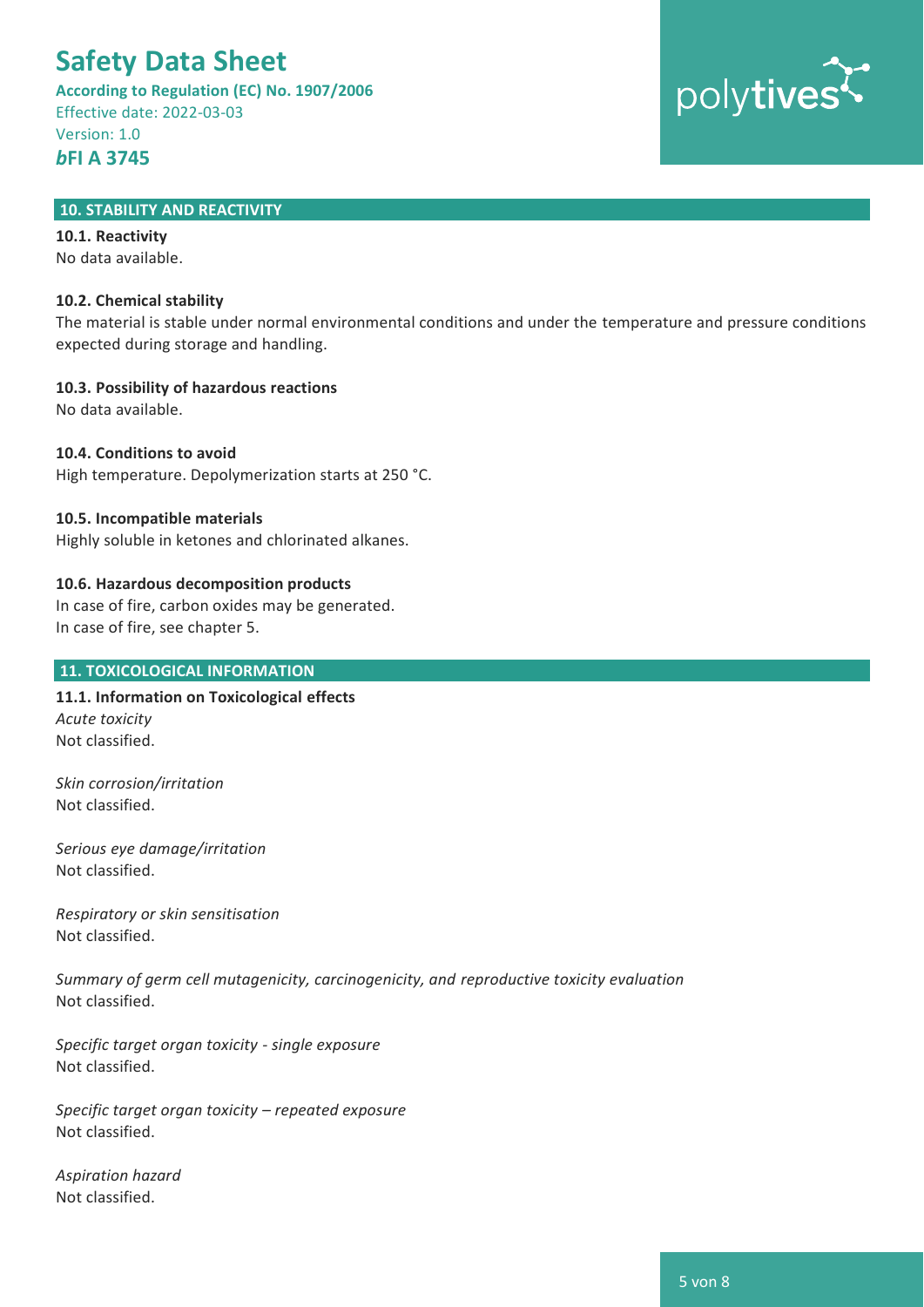**According to Regulation (EC) No. 1907/2006** Effective date: 2022-03-03 Version: 1.0 *b***FI A 3745**



#### **10. STABILITY AND REACTIVITY**

**10.1. Reactivity** No data available.

#### **10.2. Chemical stability**

The material is stable under normal environmental conditions and under the temperature and pressure conditions expected during storage and handling.

**10.3. Possibility of hazardous reactions**

No data available.

#### **10.4. Conditions to avoid**

High temperature. Depolymerization starts at 250 °C.

#### **10.5. Incompatible materials**

Highly soluble in ketones and chlorinated alkanes.

#### **10.6. Hazardous decomposition products**

In case of fire, carbon oxides may be generated. In case of fire, see chapter 5.

#### **11. TOXICOLOGICAL INFORMATION**

**11.1. Information on Toxicological effects** *Acute toxicity* Not classified.

*Skin corrosion/irritation* Not classified.

*Serious eye damage/irritation*  Not classified.

*Respiratory or skin sensitisation* Not classified.

*Summary of germ cell mutagenicity, carcinogenicity, and reproductive toxicity evaluation* Not classified.

*Specific target organ toxicity - single exposure*  Not classified.

*Specific target organ toxicity – repeated exposure*  Not classified.

*Aspiration hazard* Not classified.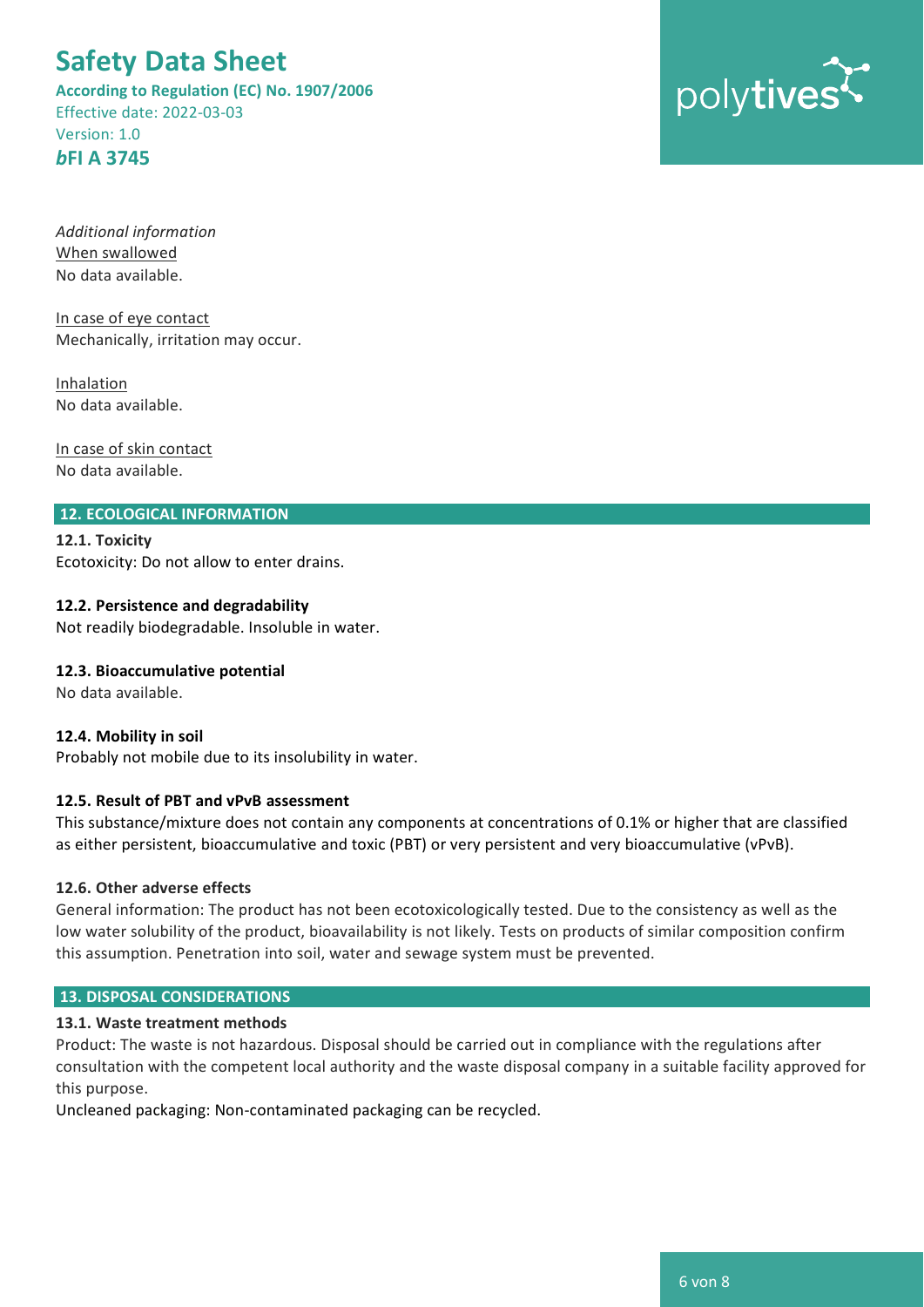**According to Regulation (EC) No. 1907/2006** Effective date: 2022-03-03 Version: 1.0 *b***FI A 3745**



*Additional information* When swallowed No data available.

In case of eye contact Mechanically, irritation may occur.

Inhalation No data available.

In case of skin contact No data available.

#### **12. ECOLOGICAL INFORMATION**

**12.1. Toxicity** Ecotoxicity: Do not allow to enter drains.

#### **12.2. Persistence and degradability**

Not readily biodegradable. Insoluble in water.

#### **12.3. Bioaccumulative potential**

No data available.

#### **12.4. Mobility in soil**

Probably not mobile due to its insolubility in water.

#### **12.5. Result of PBT and vPvB assessment**

This substance/mixture does not contain any components at concentrations of 0.1% or higher that are classified as either persistent, bioaccumulative and toxic (PBT) or very persistent and very bioaccumulative (vPvB).

#### **12.6. Other adverse effects**

General information: The product has not been ecotoxicologically tested. Due to the consistency as well as the low water solubility of the product, bioavailability is not likely. Tests on products of similar composition confirm this assumption. Penetration into soil, water and sewage system must be prevented.

#### **13. DISPOSAL CONSIDERATIONS**

#### **13.1. Waste treatment methods**

Product: The waste is not hazardous. Disposal should be carried out in compliance with the regulations after consultation with the competent local authority and the waste disposal company in a suitable facility approved for this purpose.

Uncleaned packaging: Non-contaminated packaging can be recycled.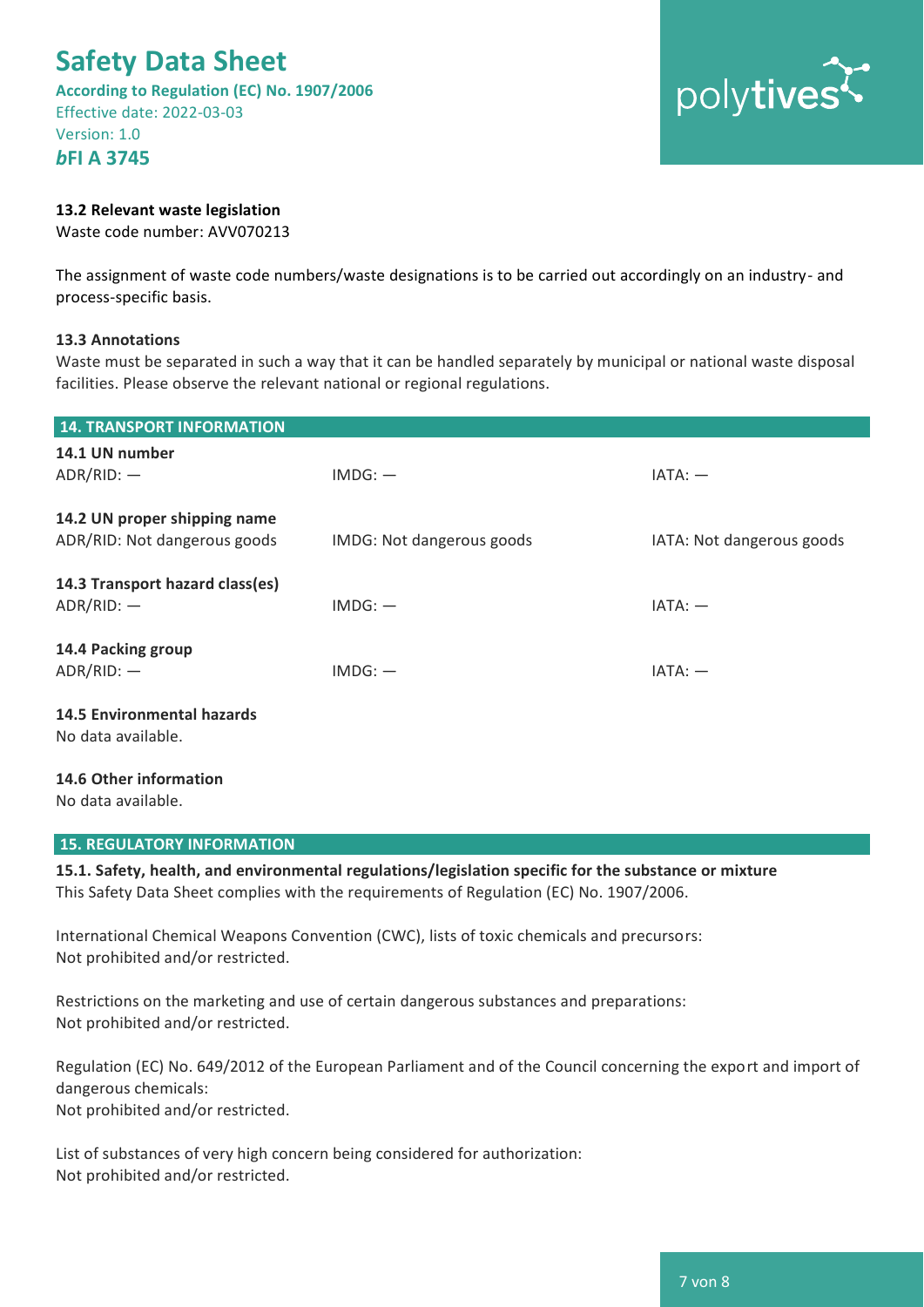**According to Regulation (EC) No. 1907/2006** Effective date: 2022-03-03 Version: 1.0

*b***FI A 3745**

#### **13.2 Relevant waste legislation**

Waste code number: AVV070213

The assignment of waste code numbers/waste designations is to be carried out accordingly on an industry- and process-specific basis.

#### **13.3 Annotations**

Waste must be separated in such a way that it can be handled separately by municipal or national waste disposal facilities. Please observe the relevant national or regional regulations.

| <b>14. TRANSPORT INFORMATION</b>                             |                           |                           |
|--------------------------------------------------------------|---------------------------|---------------------------|
| 14.1 UN number<br>$ADR/RID:$ -                               | $IMDG:$ $-$               | $IATA: -$                 |
| 14.2 UN proper shipping name<br>ADR/RID: Not dangerous goods | IMDG: Not dangerous goods | IATA: Not dangerous goods |
| 14.3 Transport hazard class(es)<br>$ADR/RID:$ -              | $IMDG:$ $-$               | $IATA: -$                 |
| 14.4 Packing group<br>$ADR/RID:$ -                           | $IMDG:$ $-$               | $IATA: -$                 |
| <b>14.5 Environmental hazards</b><br>No data available.      |                           |                           |
| 14.6 Other information                                       |                           |                           |

**15. REGULATORY INFORMATION**

No data available.

**15.1. Safety, health, and environmental regulations/legislation specific for the substance or mixture** This Safety Data Sheet complies with the requirements of Regulation (EC) No. 1907/2006.

International Chemical Weapons Convention (CWC), lists of toxic chemicals and precursors: Not prohibited and/or restricted.

Restrictions on the marketing and use of certain dangerous substances and preparations: Not prohibited and/or restricted.

Regulation (EC) No. 649/2012 of the European Parliament and of the Council concerning the export and import of dangerous chemicals: Not prohibited and/or restricted.

List of substances of very high concern being considered for authorization: Not prohibited and/or restricted.